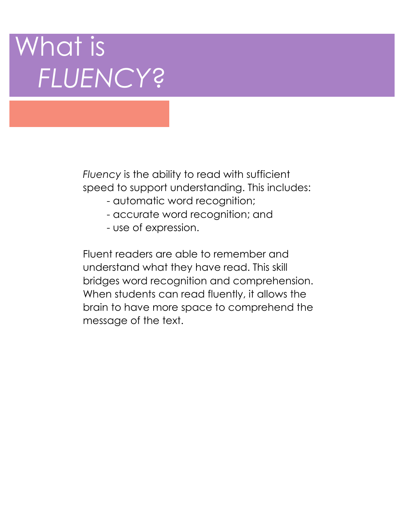# What is *FLUENCY*?

*Fluency* is the ability to read with sufficient speed to support understanding. This includes:

- automatic word recognition;
- accurate word recognition; and
- use of expression.

Fluent readers are able to remember and understand what they have read. This skill bridges word recognition and comprehension. When students can read fluently, it allows the brain to have more space to comprehend the message of the text.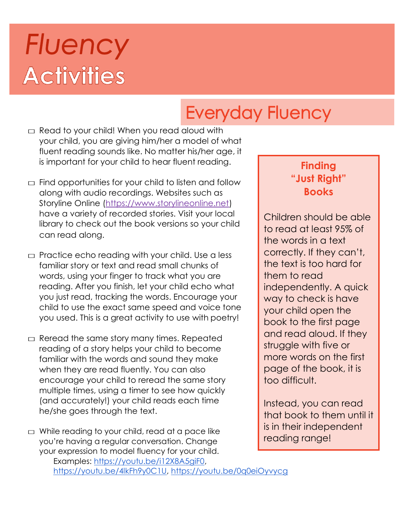# **Fluency Activities**

# **Everyday Fluency**

- $\Box$  Read to your child! When you read aloud with your child, you are giving him/her a model of what fluent reading sounds like. No matter his/her age, it is important for your child to hear fluent reading.
- $\Box$  Find opportunities for your child to listen and follow along with audio recordings. Websites such as Storyline Online (https://www.storylineonline.net) have a variety of recorded stories. Visit your local library to check out the book versions so your child can read along.
- $\Box$  Practice echo reading with your child. Use a less familiar story or text and read small chunks of words, using your finger to track what you are reading. After you finish, let your child echo what you just read, tracking the words. Encourage your child to use the exact same speed and voice tone you used. This is a great activity to use with poetry!
- $\Box$  Reread the same story many times. Repeated reading of a story helps your child to become familiar with the words and sound they make when they are read fluently. You can also encourage your child to reread the same story multiple times, using a timer to see how quickly (and accurately!) your child reads each time he/she goes through the text.

 $\Box$  While reading to your child, read at a pace like you're having a regular conversation. Change your expression to model fluency for your child. Examples: [https://youtu.be/i12X8A5giF0,](https://youtu.be/i12X8A5giF0) [https://youtu.be/4lkFh9y0C1U,](https://youtu.be/4lkFh9y0C1U)<https://youtu.be/0q0eiOyvycg>

### **Finding "Just Right" Books**

Children should be able to read at least 95% of the words in a text correctly. If they can't, the text is too hard for them to read independently. A quick way to check is have your child open the book to the first page and read aloud. If they struggle with five or more words on the first page of the book, it is too difficult.

Instead, you can read that book to them until it is in their independent reading range!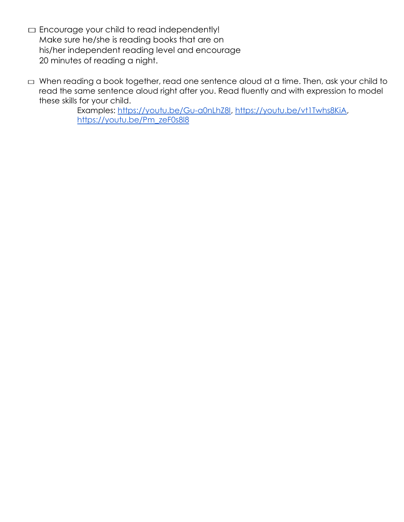- $\Box$  Encourage your child to read independently! Make sure he/she is reading books that are on his/her independent reading level and encourage 20 minutes of reading a night.
- □ When reading a book together, read one sentence aloud at a time. Then, ask your child to read the same sentence aloud right after you. Read fluently and with expression to model these skills for your child.

Examples: [https://youtu.be/Gu-a0nLhZ8I,](https://youtu.be/Gu-a0nLhZ8I) [https://youtu.be/vt1Twhs8KiA,](https://youtu.be/vt1Twhs8KiA) [https://youtu.be/Pm\\_zeF0s8l8](https://youtu.be/Pm_zeF0s8l8)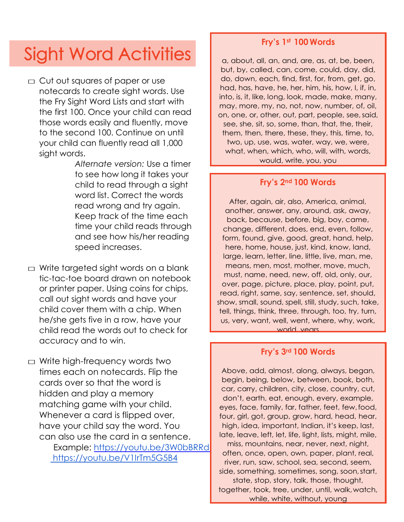## **Sight Word Activities**

 $\Box$  Cut out squares of paper or use notecards to create sight words. Use the Fry Sight Word Lists and start with the first 100. Once your child can read those words easily and fluently, move to the second 100. Continue on until your child can fluently read all 1,000 sight words.

> *Alternate version:* Use a timer to see how long it takes your child to read through a sight word list. Correct the words read wrong and try again. Keep track of the time each time your child reads through and see how his/her reading speed increases.

 $\Box$  Write targeted sight words on a blank tic-tac-toe board drawn on notebook or printer paper. Using coins for chips, call out sight words and have your child cover them with a chip. When he/she gets five in a row, have your child read the words out to check for accuracy and to win.

 $\Box$  Write high-frequency words two times each on notecards. Flip the cards over so that the word is hidden and play a memory matching game with your child. Whenever a card is flipped over, have your child say the word. You can also use the card in a sentence. Example: https://youtu.be/3W0bBRRd <https://youtu.be/V1IrTm5G5B4>

#### **Fry's 1st 100 Words**

a, about, all, an, and, are, as, at, be, been, but, by, called, can, come, could, day, did, do, down, each, find, first, for, from, get, go, had, has, have, he, her, him, his, how, I, if, in, into, is, it, like, long, look, made, make, many, may, more, my, no, not, now, number, of, oil, on, one, or, other, out, part, people, see,said, see, she, sit, so, some, than, that, the, their, them, then, there, these, they, this, time, to, two, up, use, was, water, way, we, were, what, when, which, who, will, with, words, would, write, you, you

#### **Fry's 2nd 100 Words**

After, again, air, also, America, animal, another, answer, any, around, ask, away, back, because, before, big, boy, came, change, different, does, end, even, follow, form, found, give, good, great, hand, help, here, home, house, just, kind, know, land, large, learn, letter, line, little, live, man, me, means, men, most, mother, move, much, must, name, need, new, off, old, only, our, over, page, picture, place, play, point, put, read, right, same, say, sentence, set, should, show, small, sound, spell, still, study, such, take, tell, things, think, three, through, too, try, turn, us, very, want, well, went, where, why, work, world, years

#### **Fry's 3rd 100 Words**

Above, add, almost, along, always, began, begin, being, below, between, book, both, car, carry, children, city, close, country, cut, don't, earth, eat, enough, every, example, eyes, face, family, far, father, feet, few,food, four, girl, got, group, grow, hard, head, hear, high, idea, important, Indian, it's keep, last, late, leave, left, let, life, light, lists, might, mile, miss, mountains, near, never, next, night, often, once, open, own, paper, plant, real, river, run, saw, school, sea, second, seem, side, something, sometimes, song, soon,start, state, stop, story, talk, those, thought, together, took, tree, under, until, walk,watch, while, white, without, young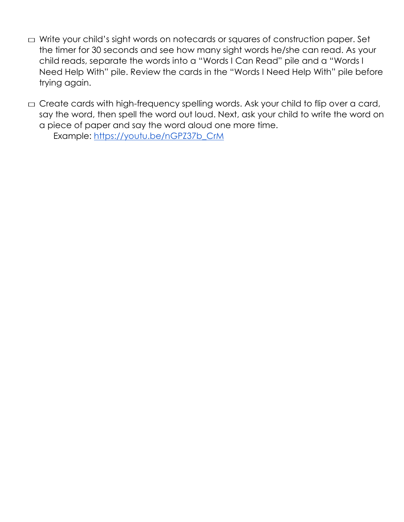- □ Write your child's sight words on notecards or squares of construction paper. Set the timer for 30 seconds and see how many sight words he/she can read. As your child reads, separate the words into a "Words I Can Read" pile and a "Words I Need Help With" pile. Review the cards in the "Words I Need Help With" pile before trying again.
- $\square$  Create cards with high-frequency spelling words. Ask your child to flip over a card, say the word, then spell the word out loud. Next, ask your child to write the word on a piece of paper and say the word aloud one more time.

Example: [https://youtu.be/nGPZ37b\\_CrM](https://youtu.be/nGPZ37b_CrM)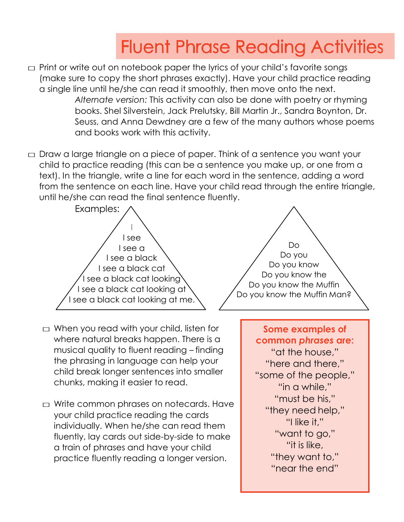# **Fluent Phrase Reading Activities**

- $\square$  Print or write out on notebook paper the lyrics of your child's favorite songs (make sure to copy the short phrases exactly). Have your child practice reading a single line until he/she can read it smoothly, then move onto the next. *Alternate version:* This activity can also be done with poetry or rhyming books. Shel Silverstein, Jack Prelutsky, Bill Martin Jr., Sandra Boynton, Dr. Seuss, and Anna Dewdney are a few of the many authors whose poems and books work with this activity.
- $\Box$  Draw a large triangle on a piece of paper. Think of a sentence you want your child to practice reading (this can be a sentence you make up, or one from a text). In the triangle, write a line for each word in the sentence, adding a word from the sentence on each line. Have your child read through the entire triangle, until he/she can read the final sentence fluently.





- $\Box$  When you read with your child, listen for where natural breaks happen. There is a musical quality to fluent reading – finding the phrasing in language can help your child break longer sentences into smaller chunks, making it easier to read.
- $\Box$  Write common phrases on notecards. Have your child practice reading the cards individually. When he/she can read them fluently, lay cards out side-by-side to make a train of phrases and have your child practice fluently reading a longer version.

**Some examples of common** *phrases* **are:**  "at the house," "here and there," "some of the people," "in a while," "must be his," "they need help," "I like it," "want to go," "it is like, "they want to." "near the end"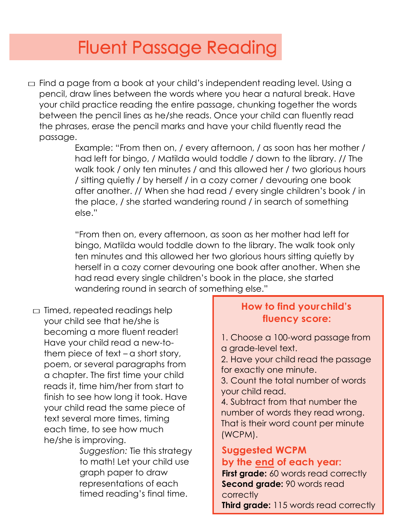### **Fluent Passage Reading**

 $\Box$  Find a page from a book at your child's independent reading level. Using a pencil, draw lines between the words where you hear a natural break. Have your child practice reading the entire passage, chunking together the words between the pencil lines as he/she reads. Once your child can fluently read the phrases, erase the pencil marks and have your child fluently read the passage.

> Example: "From then on, / every afternoon, / as soon has her mother / had left for bingo, / Matilda would toddle / down to the library. // The walk took / only ten minutes / and this allowed her / two glorious hours / sitting quietly / by herself / in a cozy corner / devouring one book after another. // When she had read / every single children's book / in the place, / she started wandering round / in search of something else."

"From then on, every afternoon, as soon as her mother had left for bingo, Matilda would toddle down to the library. The walk took only ten minutes and this allowed her two glorious hours sitting quietly by herself in a cozy corner devouring one book after another. When she had read every single children's book in the place, she started wandering round in search of something else."

 $\Box$  Timed, repeated readings help your child see that he/she is becoming a more fluent reader! Have your child read a new-tothem piece of text – a short story, poem, or several paragraphs from a chapter. The first time your child reads it, time him/her from start to finish to see how long it took. Have your child read the same piece of text several more times, timing each time, to see how much he/she is improving.

*Suggestion:* Tie this strategy to math! Let your child use graph paper to draw timed reading's final time. representations of each

### **How to find your child's fluency score:**

1. Choose a 100-word passage from a grade-level text.

2. Have your child read the passage for exactly one minute.

3. Count the total number of words your child read.

4. Subtract from that number the number of words they read wrong. That is their word count per minute (WCPM).

### **Suggested WCPM by the end of each year:**

**First grade:** 60 words read correctly **Second grade:** 90 words read **correctly** 

**Third grade:** 115 words read correctly